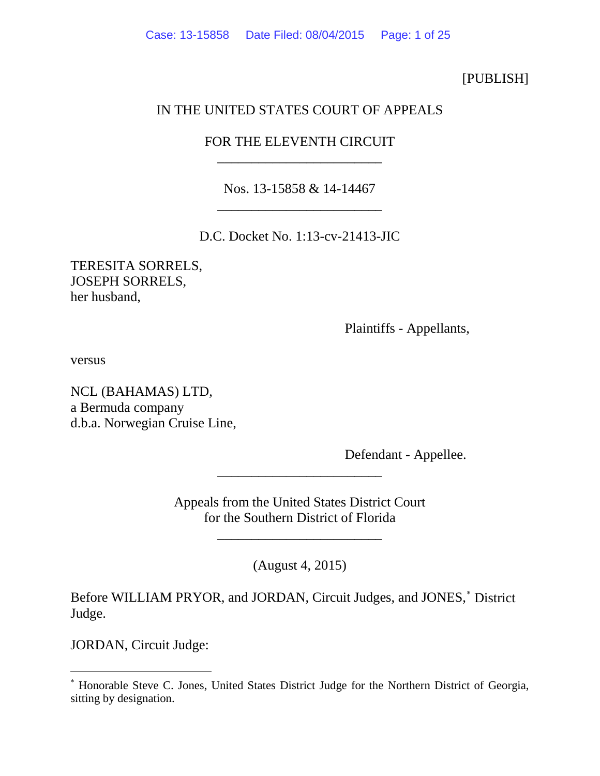[PUBLISH]

# IN THE UNITED STATES COURT OF APPEALS

# FOR THE ELEVENTH CIRCUIT \_\_\_\_\_\_\_\_\_\_\_\_\_\_\_\_\_\_\_\_\_\_\_\_

Nos. 13-15858 & 14-14467 \_\_\_\_\_\_\_\_\_\_\_\_\_\_\_\_\_\_\_\_\_\_\_\_

D.C. Docket No. 1:13-cv-21413-JIC

TERESITA SORRELS, JOSEPH SORRELS, her husband,

Plaintiffs - Appellants,

versus

NCL (BAHAMAS) LTD, a Bermuda company d.b.a. Norwegian Cruise Line,

Defendant - Appellee.

Appeals from the United States District Court for the Southern District of Florida

\_\_\_\_\_\_\_\_\_\_\_\_\_\_\_\_\_\_\_\_\_\_\_\_

\_\_\_\_\_\_\_\_\_\_\_\_\_\_\_\_\_\_\_\_\_\_\_\_

(August 4, 2015)

Before WILLIAM PRYOR, and JORDAN, Circuit Judges, and JONES,<sup>\*</sup> District Judge.

JORDAN, Circuit Judge:

<span id="page-0-0"></span><sup>∗</sup> Honorable Steve C. Jones, United States District Judge for the Northern District of Georgia, sitting by designation.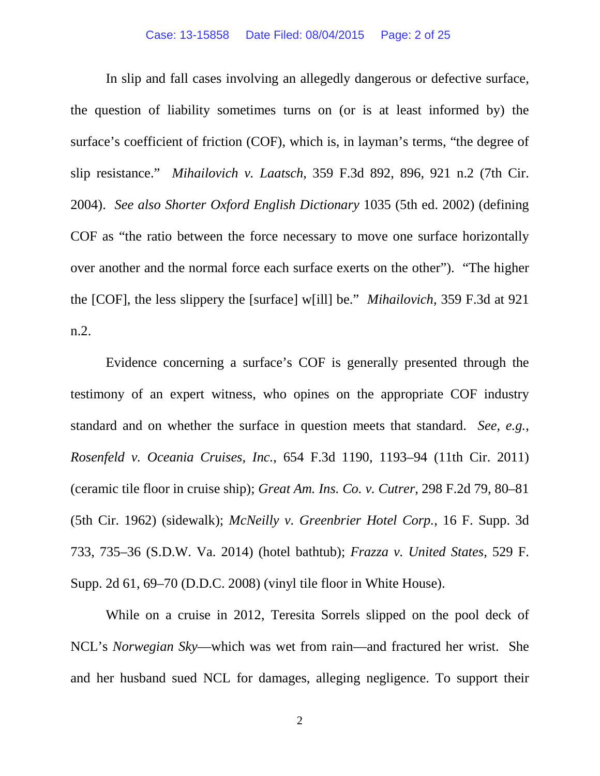In slip and fall cases involving an allegedly dangerous or defective surface, the question of liability sometimes turns on (or is at least informed by) the surface's coefficient of friction (COF), which is, in layman's terms, "the degree of slip resistance." *Mihailovich v. Laatsch*, 359 F.3d 892, 896, 921 n.2 (7th Cir. 2004). *See also Shorter Oxford English Dictionary* 1035 (5th ed. 2002) (defining COF as "the ratio between the force necessary to move one surface horizontally over another and the normal force each surface exerts on the other"). "The higher the [COF], the less slippery the [surface] w[ill] be." *Mihailovich*, 359 F.3d at 921 n.2.

Evidence concerning a surface's COF is generally presented through the testimony of an expert witness, who opines on the appropriate COF industry standard and on whether the surface in question meets that standard. *See, e.g.*, *Rosenfeld v. Oceania Cruises, Inc.*, 654 F.3d 1190, 1193–94 (11th Cir. 2011) (ceramic tile floor in cruise ship); *Great Am. Ins. Co. v. Cutrer*, 298 F.2d 79, 80–81 (5th Cir. 1962) (sidewalk); *McNeilly v. Greenbrier Hotel Corp.*, 16 F. Supp. 3d 733, 735–36 (S.D.W. Va. 2014) (hotel bathtub); *Frazza v. United States*, 529 F. Supp. 2d 61, 69–70 (D.D.C. 2008) (vinyl tile floor in White House).

While on a cruise in 2012, Teresita Sorrels slipped on the pool deck of NCL's *Norwegian Sky*—which was wet from rain—and fractured her wrist. She and her husband sued NCL for damages, alleging negligence. To support their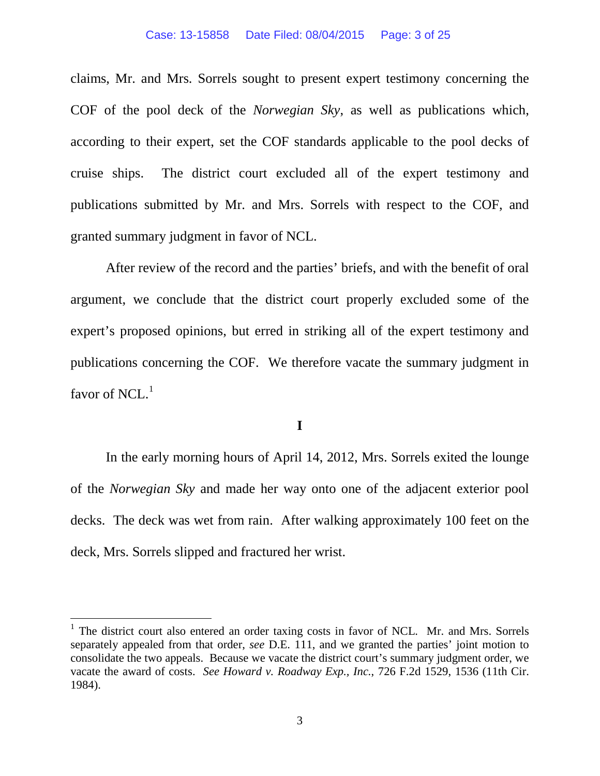#### Case: 13-15858 Date Filed: 08/04/2015 Page: 3 of 25

claims, Mr. and Mrs. Sorrels sought to present expert testimony concerning the COF of the pool deck of the *Norwegian Sky*, as well as publications which, according to their expert, set the COF standards applicable to the pool decks of cruise ships. The district court excluded all of the expert testimony and publications submitted by Mr. and Mrs. Sorrels with respect to the COF, and granted summary judgment in favor of NCL.

After review of the record and the parties' briefs, and with the benefit of oral argument, we conclude that the district court properly excluded some of the expert's proposed opinions, but erred in striking all of the expert testimony and publications concerning the COF. We therefore vacate the summary judgment in favor of NCL. $<sup>1</sup>$  $<sup>1</sup>$  $<sup>1</sup>$ </sup>

## **I**

In the early morning hours of April 14, 2012, Mrs. Sorrels exited the lounge of the *Norwegian Sky* and made her way onto one of the adjacent exterior pool decks. The deck was wet from rain. After walking approximately 100 feet on the deck, Mrs. Sorrels slipped and fractured her wrist.

<span id="page-2-0"></span> $<sup>1</sup>$  The district court also entered an order taxing costs in favor of NCL. Mr. and Mrs. Sorrels</sup> separately appealed from that order, *see* D.E. 111, and we granted the parties' joint motion to consolidate the two appeals. Because we vacate the district court's summary judgment order, we vacate the award of costs. *See Howard v. Roadway Exp., Inc.*, 726 F.2d 1529, 1536 (11th Cir. 1984).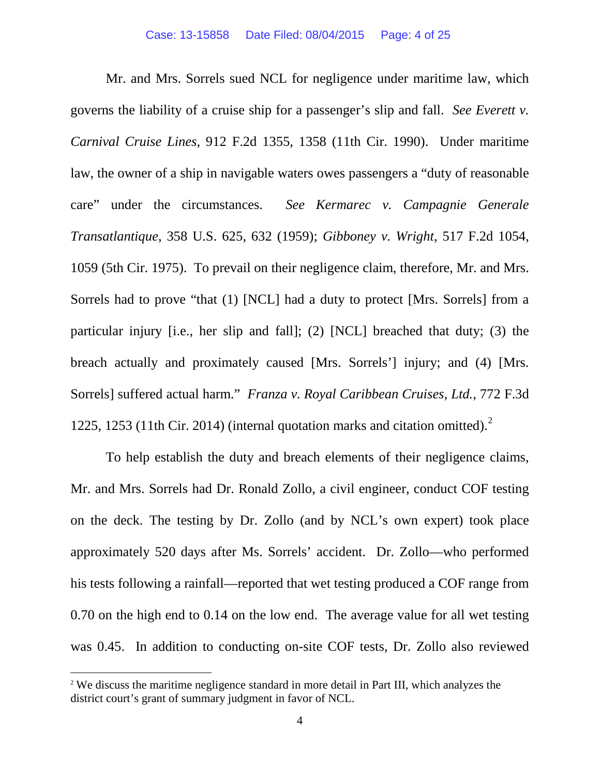Mr. and Mrs. Sorrels sued NCL for negligence under maritime law, which governs the liability of a cruise ship for a passenger's slip and fall. *See Everett v. Carnival Cruise Lines*, 912 F.2d 1355, 1358 (11th Cir. 1990). Under maritime law, the owner of a ship in navigable waters owes passengers a "duty of reasonable care" under the circumstances. *See Kermarec v. Campagnie Generale Transatlantique*, 358 U.S. 625, 632 (1959); *Gibboney v. Wright*, 517 F.2d 1054, 1059 (5th Cir. 1975). To prevail on their negligence claim, therefore, Mr. and Mrs. Sorrels had to prove "that (1) [NCL] had a duty to protect [Mrs. Sorrels] from a particular injury [i.e., her slip and fall]; (2) [NCL] breached that duty; (3) the breach actually and proximately caused [Mrs. Sorrels'] injury; and (4) [Mrs. Sorrels] suffered actual harm." *Franza v. Royal Caribbean Cruises, Ltd.*, 772 F.3d 1225, 1253 (11th Cir. 2014) (internal quotation marks and citation omitted). [2](#page-3-0)

To help establish the duty and breach elements of their negligence claims, Mr. and Mrs. Sorrels had Dr. Ronald Zollo, a civil engineer, conduct COF testing on the deck. The testing by Dr. Zollo (and by NCL's own expert) took place approximately 520 days after Ms. Sorrels' accident. Dr. Zollo—who performed his tests following a rainfall—reported that wet testing produced a COF range from 0.70 on the high end to 0.14 on the low end. The average value for all wet testing was 0.45. In addition to conducting on-site COF tests, Dr. Zollo also reviewed

<span id="page-3-0"></span><sup>&</sup>lt;sup>2</sup> We discuss the maritime negligence standard in more detail in Part III, which analyzes the district court's grant of summary judgment in favor of NCL.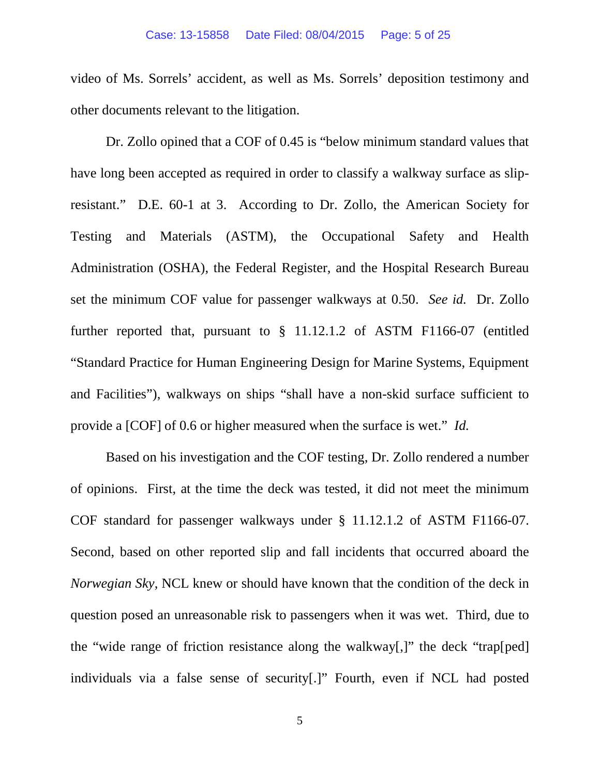video of Ms. Sorrels' accident, as well as Ms. Sorrels' deposition testimony and other documents relevant to the litigation.

Dr. Zollo opined that a COF of 0.45 is "below minimum standard values that have long been accepted as required in order to classify a walkway surface as slipresistant." D.E. 60-1 at 3. According to Dr. Zollo, the American Society for Testing and Materials (ASTM), the Occupational Safety and Health Administration (OSHA), the Federal Register, and the Hospital Research Bureau set the minimum COF value for passenger walkways at 0.50. *See id.* Dr. Zollo further reported that, pursuant to § 11.12.1.2 of ASTM F1166-07 (entitled "Standard Practice for Human Engineering Design for Marine Systems, Equipment and Facilities"), walkways on ships "shall have a non-skid surface sufficient to provide a [COF] of 0.6 or higher measured when the surface is wet." *Id.*

Based on his investigation and the COF testing, Dr. Zollo rendered a number of opinions. First, at the time the deck was tested, it did not meet the minimum COF standard for passenger walkways under § 11.12.1.2 of ASTM F1166-07. Second, based on other reported slip and fall incidents that occurred aboard the *Norwegian Sky*, NCL knew or should have known that the condition of the deck in question posed an unreasonable risk to passengers when it was wet. Third, due to the "wide range of friction resistance along the walkway[,]" the deck "trap[ped] individuals via a false sense of security[.]" Fourth, even if NCL had posted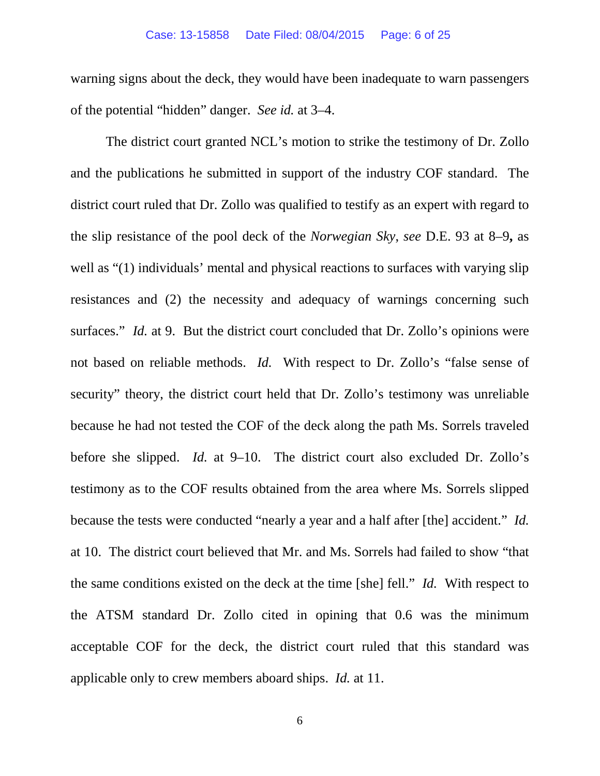warning signs about the deck, they would have been inadequate to warn passengers of the potential "hidden" danger. *See id.* at 3–4.

The district court granted NCL's motion to strike the testimony of Dr. Zollo and the publications he submitted in support of the industry COF standard. The district court ruled that Dr. Zollo was qualified to testify as an expert with regard to the slip resistance of the pool deck of the *Norwegian Sky*, *see* D.E. 93 at 8–9**,** as well as "(1) individuals' mental and physical reactions to surfaces with varying slip resistances and (2) the necessity and adequacy of warnings concerning such surfaces." *Id.* at 9. But the district court concluded that Dr. Zollo's opinions were not based on reliable methods. *Id.* With respect to Dr. Zollo's "false sense of security" theory, the district court held that Dr. Zollo's testimony was unreliable because he had not tested the COF of the deck along the path Ms. Sorrels traveled before she slipped. *Id.* at 9–10. The district court also excluded Dr. Zollo's testimony as to the COF results obtained from the area where Ms. Sorrels slipped because the tests were conducted "nearly a year and a half after [the] accident." *Id.* at 10. The district court believed that Mr. and Ms. Sorrels had failed to show "that the same conditions existed on the deck at the time [she] fell." *Id.* With respect to the ATSM standard Dr. Zollo cited in opining that 0.6 was the minimum acceptable COF for the deck, the district court ruled that this standard was applicable only to crew members aboard ships. *Id.* at 11.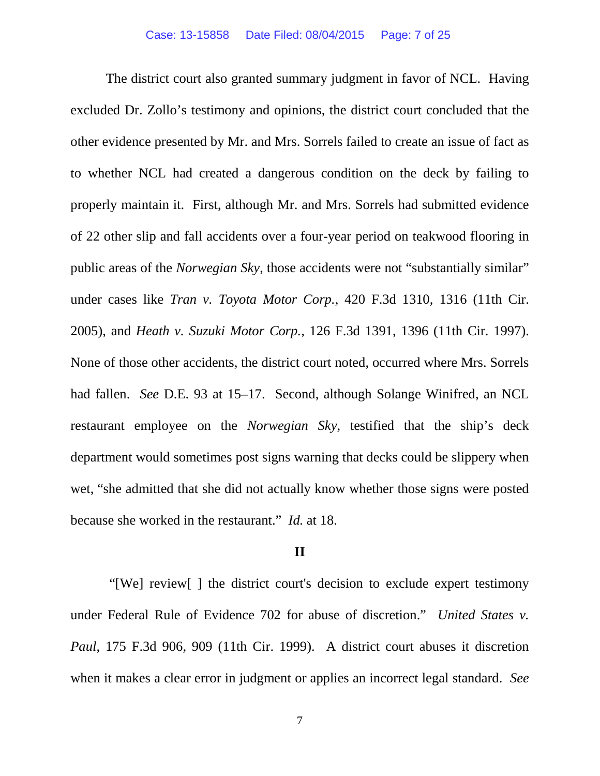The district court also granted summary judgment in favor of NCL. Having excluded Dr. Zollo's testimony and opinions, the district court concluded that the other evidence presented by Mr. and Mrs. Sorrels failed to create an issue of fact as to whether NCL had created a dangerous condition on the deck by failing to properly maintain it. First, although Mr. and Mrs. Sorrels had submitted evidence of 22 other slip and fall accidents over a four-year period on teakwood flooring in public areas of the *Norwegian Sky*, those accidents were not "substantially similar" under cases like *Tran v. Toyota Motor Corp.*, 420 F.3d 1310, 1316 (11th Cir. 2005), and *Heath v. Suzuki Motor Corp.*, 126 F.3d 1391, 1396 (11th Cir. 1997). None of those other accidents, the district court noted, occurred where Mrs. Sorrels had fallen. *See* D.E. 93 at 15–17.Second, although Solange Winifred, an NCL restaurant employee on the *Norwegian Sky*, testified that the ship's deck department would sometimes post signs warning that decks could be slippery when wet, "she admitted that she did not actually know whether those signs were posted because she worked in the restaurant." *Id.* at 18.

## **II**

"[We] review[ ] the district court's decision to exclude expert testimony under Federal Rule of Evidence 702 for abuse of discretion." *United States v. Paul*, 175 F.3d 906, 909 (11th Cir. 1999). A district court abuses it discretion when it makes a clear error in judgment or applies an incorrect legal standard. *See*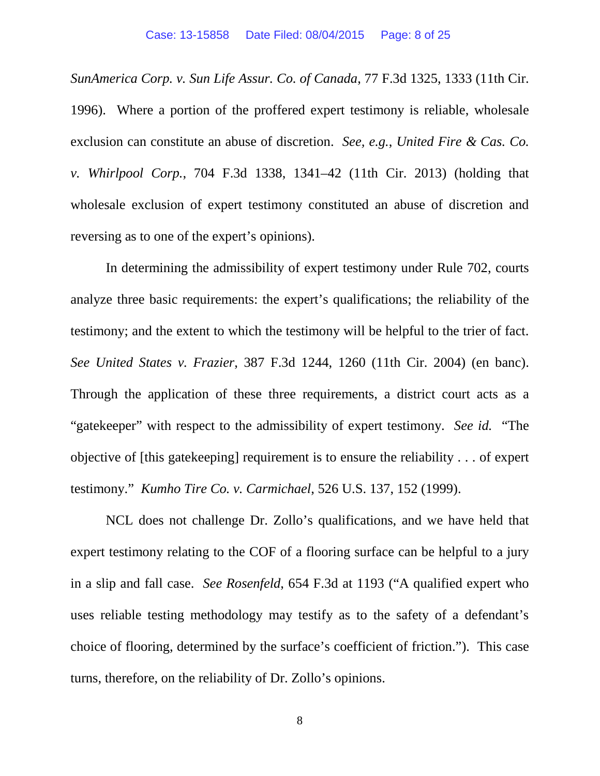*SunAmerica Corp. v. Sun Life Assur. Co. of Canada*, 77 F.3d 1325, 1333 (11th Cir. 1996). Where a portion of the proffered expert testimony is reliable, wholesale exclusion can constitute an abuse of discretion. *See, e.g.*, *United Fire & Cas. Co. v. Whirlpool Corp.*, 704 F.3d 1338, 1341–42 (11th Cir. 2013) (holding that wholesale exclusion of expert testimony constituted an abuse of discretion and reversing as to one of the expert's opinions).

In determining the admissibility of expert testimony under Rule 702, courts analyze three basic requirements: the expert's qualifications; the reliability of the testimony; and the extent to which the testimony will be helpful to the trier of fact. *See United States v. Frazier*, 387 F.3d 1244, 1260 (11th Cir. 2004) (en banc). Through the application of these three requirements, a district court acts as a "gatekeeper" with respect to the admissibility of expert testimony. *See id.* "The objective of [this gatekeeping] requirement is to ensure the reliability . . . of expert testimony." *Kumho Tire Co. v. Carmichael*, 526 U.S. 137, 152 (1999).

NCL does not challenge Dr. Zollo's qualifications, and we have held that expert testimony relating to the COF of a flooring surface can be helpful to a jury in a slip and fall case. *See Rosenfeld*, 654 F.3d at 1193 ("A qualified expert who uses reliable testing methodology may testify as to the safety of a defendant's choice of flooring, determined by the surface's coefficient of friction."). This case turns, therefore, on the reliability of Dr. Zollo's opinions.

8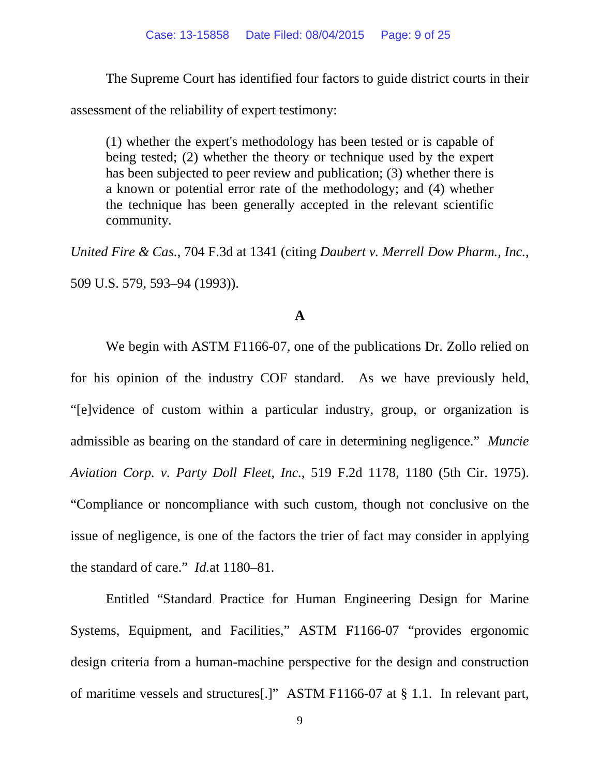The Supreme Court has identified four factors to guide district courts in their

assessment of the reliability of expert testimony:

(1) whether the expert's methodology has been tested or is capable of being tested; (2) whether the theory or technique used by the expert has been subjected to peer review and publication; (3) whether there is a known or potential error rate of the methodology; and (4) whether the technique has been generally accepted in the relevant scientific community.

*United Fire & Cas.*, 704 F.3d at 1341 (citing *Daubert v. Merrell Dow Pharm., Inc.*, 509 U.S. 579, 593–94 (1993)).

## **A**

We begin with ASTM F1166-07, one of the publications Dr. Zollo relied on for his opinion of the industry COF standard. As we have previously held, "[e]vidence of custom within a particular industry, group, or organization is admissible as bearing on the standard of care in determining negligence." *Muncie Aviation Corp. v. Party Doll Fleet, Inc.*, 519 F.2d 1178, 1180 (5th Cir. 1975). "Compliance or noncompliance with such custom, though not conclusive on the issue of negligence, is one of the factors the trier of fact may consider in applying the standard of care." *Id.*at 1180–81.

Entitled "Standard Practice for Human Engineering Design for Marine Systems, Equipment, and Facilities," ASTM F1166-07 "provides ergonomic design criteria from a human-machine perspective for the design and construction of maritime vessels and structures[.]" ASTM F1166-07 at § 1.1. In relevant part,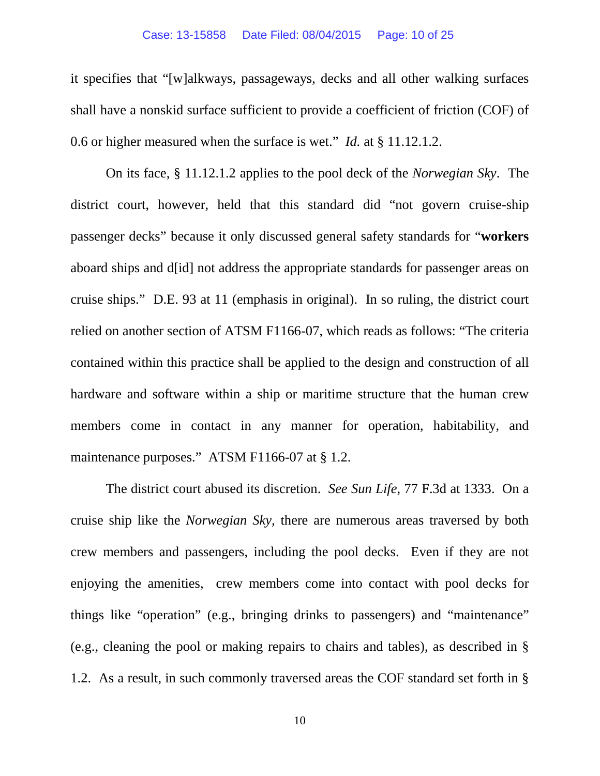### Case: 13-15858 Date Filed: 08/04/2015 Page: 10 of 25

it specifies that "[w]alkways, passageways, decks and all other walking surfaces shall have a nonskid surface sufficient to provide a coefficient of friction (COF) of 0.6 or higher measured when the surface is wet." *Id.* at § 11.12.1.2.

On its face, § 11.12.1.2 applies to the pool deck of the *Norwegian Sky*. The district court, however, held that this standard did "not govern cruise-ship passenger decks" because it only discussed general safety standards for "**workers** aboard ships and d[id] not address the appropriate standards for passenger areas on cruise ships." D.E. 93 at 11 (emphasis in original). In so ruling, the district court relied on another section of ATSM F1166-07, which reads as follows: "The criteria contained within this practice shall be applied to the design and construction of all hardware and software within a ship or maritime structure that the human crew members come in contact in any manner for operation, habitability, and maintenance purposes." ATSM F1166-07 at § 1.2.

The district court abused its discretion. *See Sun Life*, 77 F.3d at 1333. On a cruise ship like the *Norwegian Sky,* there are numerous areas traversed by both crew members and passengers, including the pool decks. Even if they are not enjoying the amenities, crew members come into contact with pool decks for things like "operation" (e.g., bringing drinks to passengers) and "maintenance" (e.g., cleaning the pool or making repairs to chairs and tables), as described in § 1.2. As a result, in such commonly traversed areas the COF standard set forth in §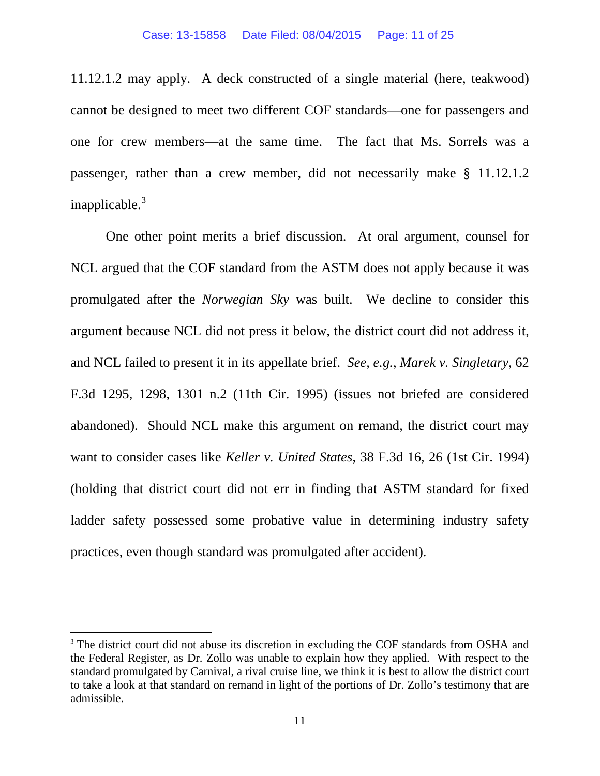11.12.1.2 may apply. A deck constructed of a single material (here, teakwood) cannot be designed to meet two different COF standards—one for passengers and one for crew members—at the same time. The fact that Ms. Sorrels was a passenger, rather than a crew member, did not necessarily make § 11.12.1.2 inapplicable.<sup>[3](#page-10-0)</sup>

One other point merits a brief discussion. At oral argument, counsel for NCL argued that the COF standard from the ASTM does not apply because it was promulgated after the *Norwegian Sky* was built. We decline to consider this argument because NCL did not press it below, the district court did not address it, and NCL failed to present it in its appellate brief. *See, e.g.*, *Marek v. Singletary*, 62 F.3d 1295, 1298, 1301 n.2 (11th Cir. 1995) (issues not briefed are considered abandoned). Should NCL make this argument on remand, the district court may want to consider cases like *Keller v. United States*, 38 F.3d 16, 26 (1st Cir. 1994) (holding that district court did not err in finding that ASTM standard for fixed ladder safety possessed some probative value in determining industry safety practices, even though standard was promulgated after accident).

<span id="page-10-0"></span><sup>&</sup>lt;sup>3</sup> The district court did not abuse its discretion in excluding the COF standards from OSHA and the Federal Register, as Dr. Zollo was unable to explain how they applied. With respect to the standard promulgated by Carnival, a rival cruise line, we think it is best to allow the district court to take a look at that standard on remand in light of the portions of Dr. Zollo's testimony that are admissible.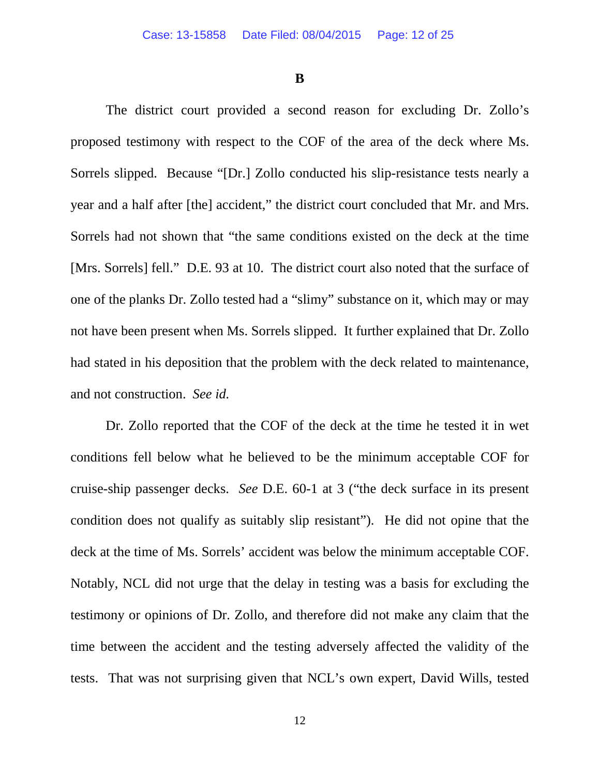**B**

The district court provided a second reason for excluding Dr. Zollo's proposed testimony with respect to the COF of the area of the deck where Ms. Sorrels slipped. Because "[Dr.] Zollo conducted his slip-resistance tests nearly a year and a half after [the] accident," the district court concluded that Mr. and Mrs. Sorrels had not shown that "the same conditions existed on the deck at the time [Mrs. Sorrels] fell." D.E. 93 at 10. The district court also noted that the surface of one of the planks Dr. Zollo tested had a "slimy" substance on it, which may or may not have been present when Ms. Sorrels slipped. It further explained that Dr. Zollo had stated in his deposition that the problem with the deck related to maintenance, and not construction. *See id.*

Dr. Zollo reported that the COF of the deck at the time he tested it in wet conditions fell below what he believed to be the minimum acceptable COF for cruise-ship passenger decks. *See* D.E. 60-1 at 3 ("the deck surface in its present condition does not qualify as suitably slip resistant"). He did not opine that the deck at the time of Ms. Sorrels' accident was below the minimum acceptable COF. Notably, NCL did not urge that the delay in testing was a basis for excluding the testimony or opinions of Dr. Zollo, and therefore did not make any claim that the time between the accident and the testing adversely affected the validity of the tests. That was not surprising given that NCL's own expert, David Wills, tested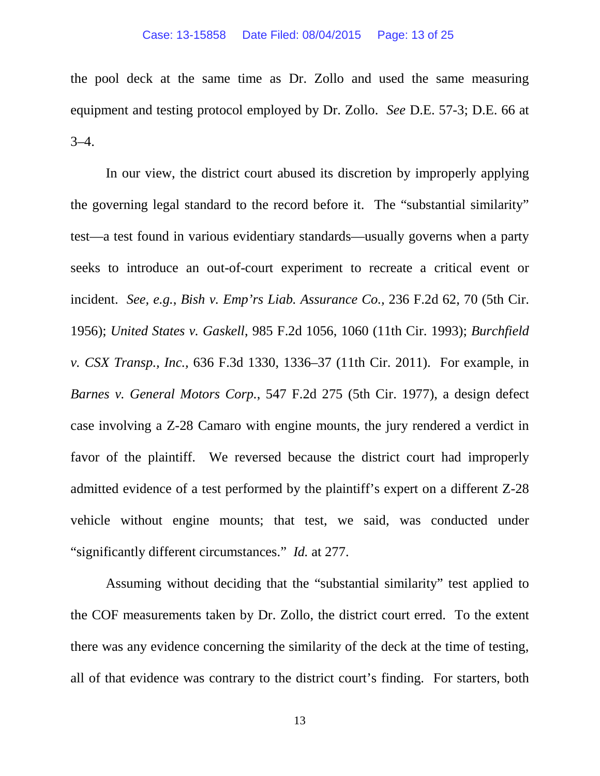the pool deck at the same time as Dr. Zollo and used the same measuring equipment and testing protocol employed by Dr. Zollo. *See* D.E. 57-3; D.E. 66 at  $3-4.$ 

In our view, the district court abused its discretion by improperly applying the governing legal standard to the record before it. The "substantial similarity" test—a test found in various evidentiary standards—usually governs when a party seeks to introduce an out-of-court experiment to recreate a critical event or incident. *See, e.g.*, *Bish v. Emp'rs Liab. Assurance Co.,* 236 F.2d 62, 70 (5th Cir. 1956); *United States v. Gaskell*, 985 F.2d 1056, 1060 (11th Cir. 1993); *Burchfield v. CSX Transp., Inc.,* 636 F.3d 1330, 1336–37 (11th Cir. 2011). For example, in *Barnes v. General Motors Corp.*, 547 F.2d 275 (5th Cir. 1977), a design defect case involving a Z-28 Camaro with engine mounts, the jury rendered a verdict in favor of the plaintiff. We reversed because the district court had improperly admitted evidence of a test performed by the plaintiff's expert on a different Z-28 vehicle without engine mounts; that test, we said, was conducted under "significantly different circumstances." *Id.* at 277.

Assuming without deciding that the "substantial similarity" test applied to the COF measurements taken by Dr. Zollo, the district court erred. To the extent there was any evidence concerning the similarity of the deck at the time of testing, all of that evidence was contrary to the district court's finding. For starters, both

13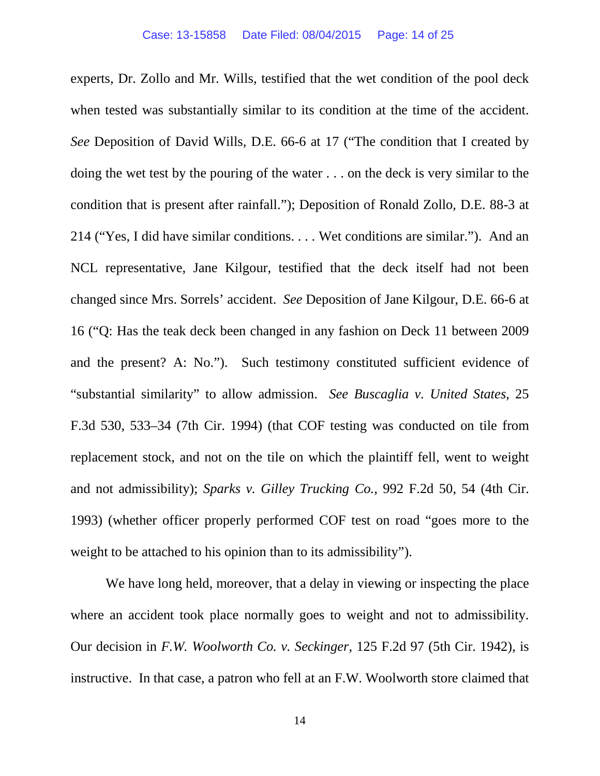experts, Dr. Zollo and Mr. Wills, testified that the wet condition of the pool deck when tested was substantially similar to its condition at the time of the accident. *See* Deposition of David Wills, D.E. 66-6 at 17 ("The condition that I created by doing the wet test by the pouring of the water . . . on the deck is very similar to the condition that is present after rainfall."); Deposition of Ronald Zollo, D.E. 88-3 at 214 ("Yes, I did have similar conditions. . . . Wet conditions are similar."). And an NCL representative, Jane Kilgour, testified that the deck itself had not been changed since Mrs. Sorrels' accident. *See* Deposition of Jane Kilgour, D.E. 66-6 at 16 ("Q: Has the teak deck been changed in any fashion on Deck 11 between 2009 and the present? A: No."). Such testimony constituted sufficient evidence of "substantial similarity" to allow admission. *See Buscaglia v. United States*, 25 F.3d 530, 533–34 (7th Cir. 1994) (that COF testing was conducted on tile from replacement stock, and not on the tile on which the plaintiff fell, went to weight and not admissibility); *Sparks v. Gilley Trucking Co.*, 992 F.2d 50, 54 (4th Cir. 1993) (whether officer properly performed COF test on road "goes more to the weight to be attached to his opinion than to its admissibility").

We have long held, moreover, that a delay in viewing or inspecting the place where an accident took place normally goes to weight and not to admissibility. Our decision in *F.W. Woolworth Co. v. Seckinger*, 125 F.2d 97 (5th Cir. 1942), is instructive. In that case, a patron who fell at an F.W. Woolworth store claimed that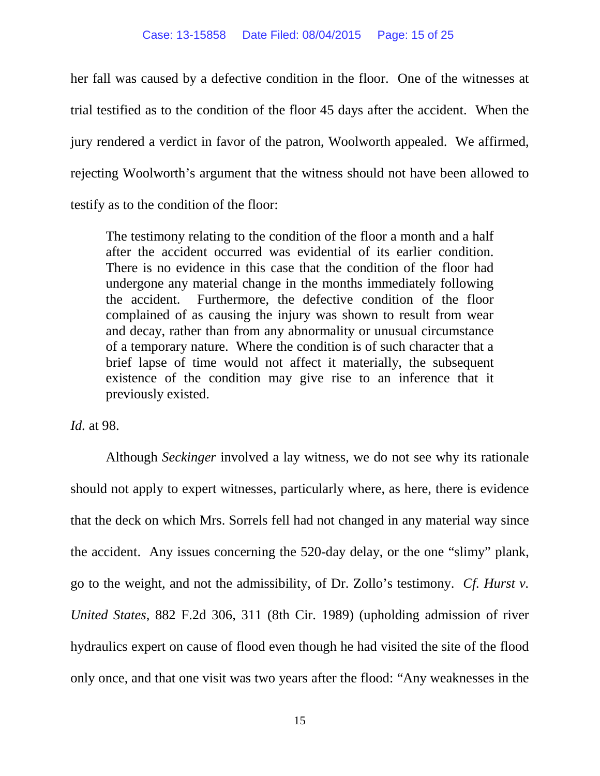her fall was caused by a defective condition in the floor. One of the witnesses at trial testified as to the condition of the floor 45 days after the accident. When the jury rendered a verdict in favor of the patron, Woolworth appealed. We affirmed, rejecting Woolworth's argument that the witness should not have been allowed to testify as to the condition of the floor:

The testimony relating to the condition of the floor a month and a half after the accident occurred was evidential of its earlier condition. There is no evidence in this case that the condition of the floor had undergone any material change in the months immediately following the accident. Furthermore, the defective condition of the floor complained of as causing the injury was shown to result from wear and decay, rather than from any abnormality or unusual circumstance of a temporary nature. Where the condition is of such character that a brief lapse of time would not affect it materially, the subsequent existence of the condition may give rise to an inference that it previously existed.

*Id.* at 98.

Although *Seckinger* involved a lay witness, we do not see why its rationale should not apply to expert witnesses, particularly where, as here, there is evidence that the deck on which Mrs. Sorrels fell had not changed in any material way since the accident. Any issues concerning the 520-day delay, or the one "slimy" plank, go to the weight, and not the admissibility, of Dr. Zollo's testimony. *Cf. Hurst v. United States*, 882 F.2d 306, 311 (8th Cir. 1989) (upholding admission of river hydraulics expert on cause of flood even though he had visited the site of the flood only once, and that one visit was two years after the flood: "Any weaknesses in the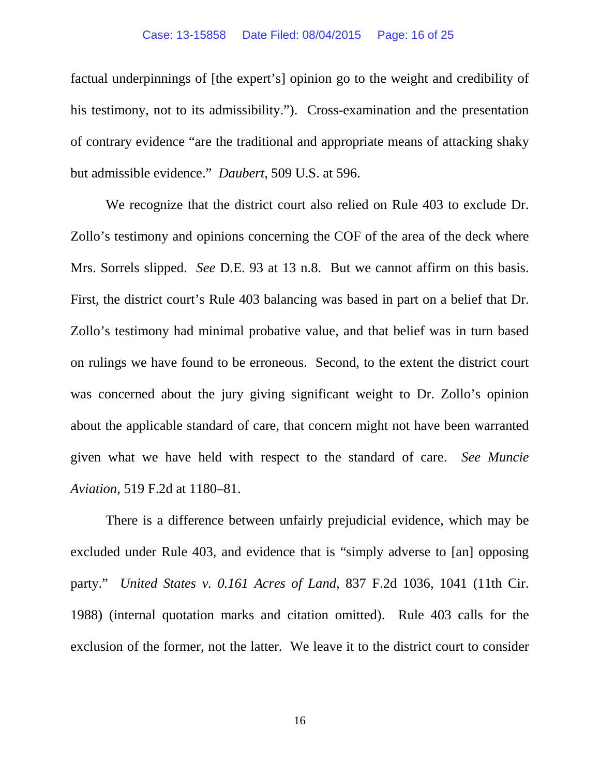factual underpinnings of [the expert's] opinion go to the weight and credibility of his testimony, not to its admissibility."). Cross-examination and the presentation of contrary evidence "are the traditional and appropriate means of attacking shaky but admissible evidence." *Daubert*, 509 U.S. at 596.

We recognize that the district court also relied on Rule 403 to exclude Dr. Zollo's testimony and opinions concerning the COF of the area of the deck where Mrs. Sorrels slipped. *See* D.E. 93 at 13 n.8. But we cannot affirm on this basis. First, the district court's Rule 403 balancing was based in part on a belief that Dr. Zollo's testimony had minimal probative value, and that belief was in turn based on rulings we have found to be erroneous. Second, to the extent the district court was concerned about the jury giving significant weight to Dr. Zollo's opinion about the applicable standard of care, that concern might not have been warranted given what we have held with respect to the standard of care. *See Muncie Aviation*, 519 F.2d at 1180–81.

There is a difference between unfairly prejudicial evidence, which may be excluded under Rule 403, and evidence that is "simply adverse to [an] opposing party." *United States v. 0.161 Acres of Land,* 837 F.2d 1036, 1041 (11th Cir. 1988) (internal quotation marks and citation omitted). Rule 403 calls for the exclusion of the former, not the latter. We leave it to the district court to consider

16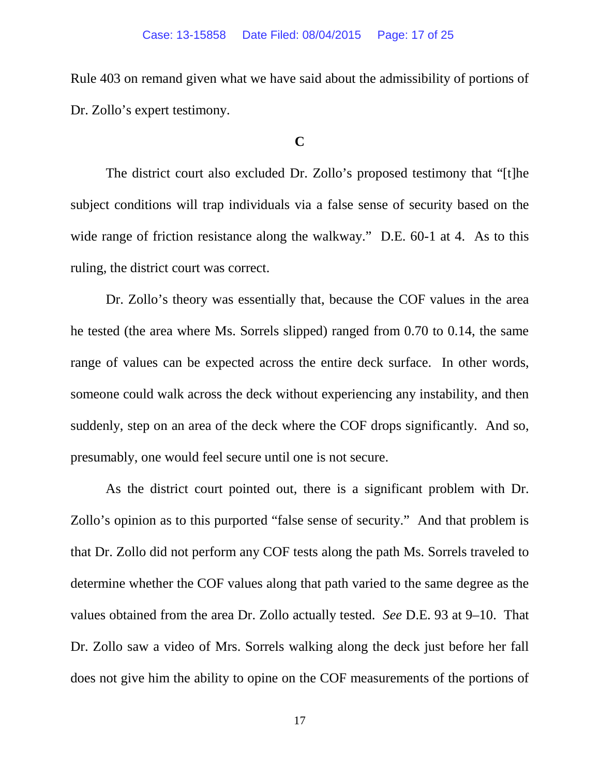Rule 403 on remand given what we have said about the admissibility of portions of Dr. Zollo's expert testimony.

## **C**

The district court also excluded Dr. Zollo's proposed testimony that "[t]he subject conditions will trap individuals via a false sense of security based on the wide range of friction resistance along the walkway." D.E. 60-1 at 4. As to this ruling, the district court was correct.

Dr. Zollo's theory was essentially that, because the COF values in the area he tested (the area where Ms. Sorrels slipped) ranged from 0.70 to 0.14, the same range of values can be expected across the entire deck surface. In other words, someone could walk across the deck without experiencing any instability, and then suddenly, step on an area of the deck where the COF drops significantly. And so, presumably, one would feel secure until one is not secure.

As the district court pointed out, there is a significant problem with Dr. Zollo's opinion as to this purported "false sense of security." And that problem is that Dr. Zollo did not perform any COF tests along the path Ms. Sorrels traveled to determine whether the COF values along that path varied to the same degree as the values obtained from the area Dr. Zollo actually tested. *See* D.E. 93 at 9–10. That Dr. Zollo saw a video of Mrs. Sorrels walking along the deck just before her fall does not give him the ability to opine on the COF measurements of the portions of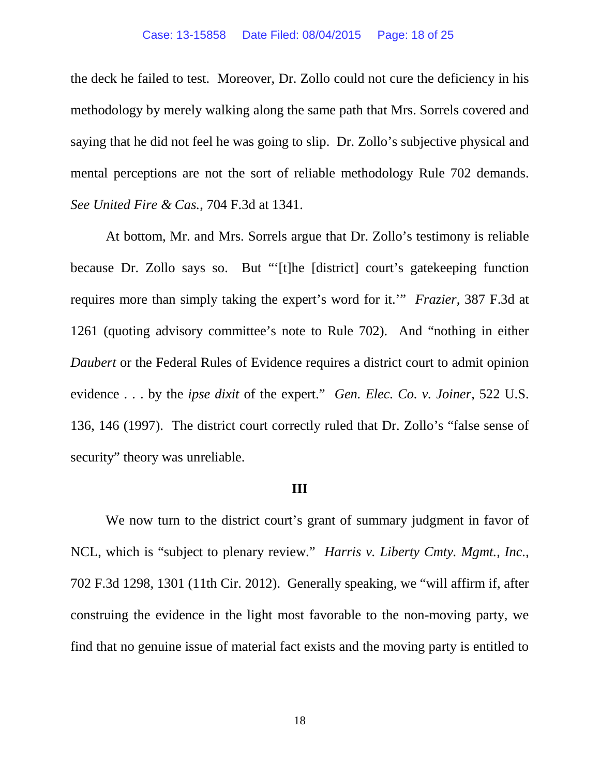the deck he failed to test. Moreover, Dr. Zollo could not cure the deficiency in his methodology by merely walking along the same path that Mrs. Sorrels covered and saying that he did not feel he was going to slip. Dr. Zollo's subjective physical and mental perceptions are not the sort of reliable methodology Rule 702 demands. *See United Fire & Cas.*, 704 F.3d at 1341.

At bottom, Mr. and Mrs. Sorrels argue that Dr. Zollo's testimony is reliable because Dr. Zollo says so. But "'[t]he [district] court's gatekeeping function requires more than simply taking the expert's word for it.'" *Frazier*, 387 F.3d at 1261 (quoting advisory committee's note to Rule 702). And "nothing in either *Daubert* or the Federal Rules of Evidence requires a district court to admit opinion evidence . . . by the *ipse dixit* of the expert." *Gen. Elec. Co. v. Joiner*, 522 U.S. 136, 146 (1997). The district court correctly ruled that Dr. Zollo's "false sense of security" theory was unreliable.

### **III**

We now turn to the district court's grant of summary judgment in favor of NCL, which is "subject to plenary review." *Harris v. Liberty Cmty. Mgmt., Inc.*, 702 F.3d 1298, 1301 (11th Cir. 2012). Generally speaking, we "will affirm if, after construing the evidence in the light most favorable to the non-moving party, we find that no genuine issue of material fact exists and the moving party is entitled to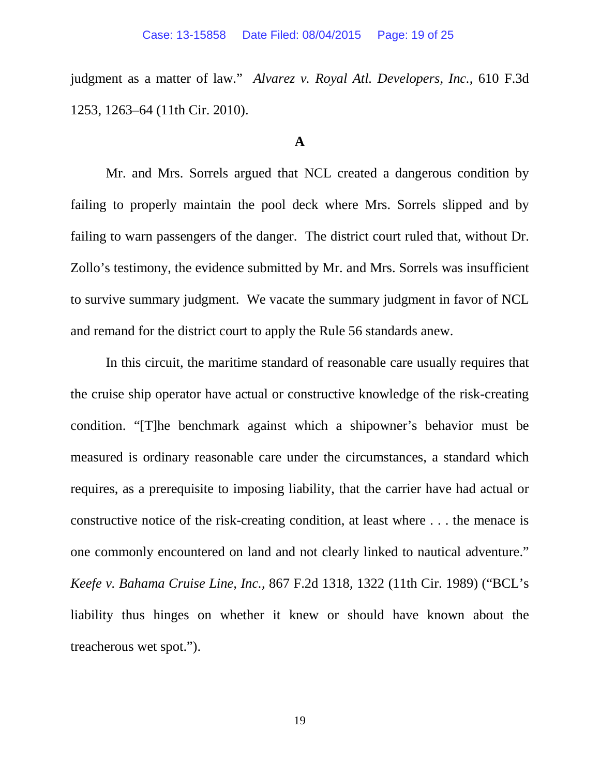judgment as a matter of law." *Alvarez v. Royal Atl. Developers, Inc.*, 610 F.3d 1253, 1263–64 (11th Cir. 2010).

## **A**

Mr. and Mrs. Sorrels argued that NCL created a dangerous condition by failing to properly maintain the pool deck where Mrs. Sorrels slipped and by failing to warn passengers of the danger. The district court ruled that, without Dr. Zollo's testimony, the evidence submitted by Mr. and Mrs. Sorrels was insufficient to survive summary judgment. We vacate the summary judgment in favor of NCL and remand for the district court to apply the Rule 56 standards anew.

In this circuit, the maritime standard of reasonable care usually requires that the cruise ship operator have actual or constructive knowledge of the risk-creating condition. "[T]he benchmark against which a shipowner's behavior must be measured is ordinary reasonable care under the circumstances, a standard which requires, as a prerequisite to imposing liability, that the carrier have had actual or constructive notice of the risk-creating condition, at least where . . . the menace is one commonly encountered on land and not clearly linked to nautical adventure." *Keefe v. Bahama Cruise Line, Inc.*, 867 F.2d 1318, 1322 (11th Cir. 1989) ("BCL's liability thus hinges on whether it knew or should have known about the treacherous wet spot.").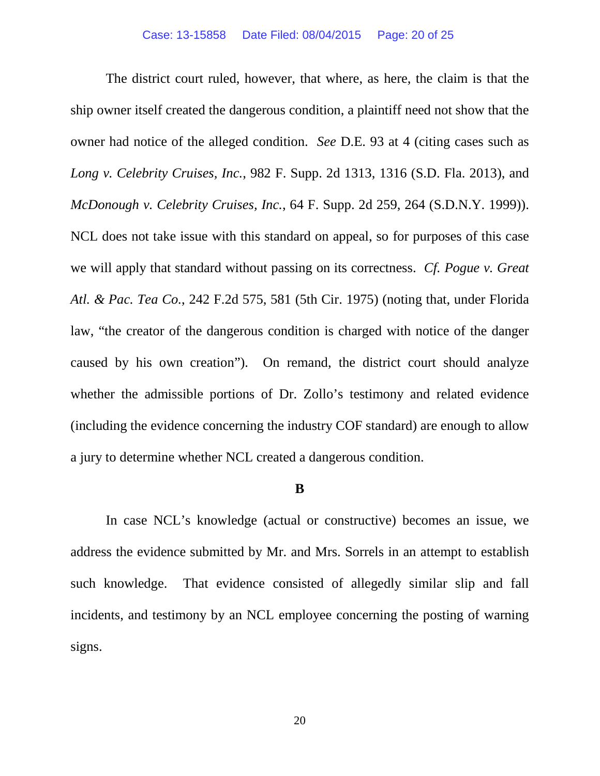The district court ruled, however, that where, as here, the claim is that the ship owner itself created the dangerous condition, a plaintiff need not show that the owner had notice of the alleged condition. *See* D.E. 93 at 4 (citing cases such as *Long v. Celebrity Cruises, Inc.*, 982 F. Supp. 2d 1313, 1316 (S.D. Fla. 2013), and *McDonough v. Celebrity Cruises, Inc.*, 64 F. Supp. 2d 259, 264 (S.D.N.Y. 1999)). NCL does not take issue with this standard on appeal, so for purposes of this case we will apply that standard without passing on its correctness. *Cf. Pogue v. Great Atl. & Pac. Tea Co.*, 242 F.2d 575, 581 (5th Cir. 1975) (noting that, under Florida law, "the creator of the dangerous condition is charged with notice of the danger caused by his own creation"). On remand, the district court should analyze whether the admissible portions of Dr. Zollo's testimony and related evidence (including the evidence concerning the industry COF standard) are enough to allow a jury to determine whether NCL created a dangerous condition.

### **B**

In case NCL's knowledge (actual or constructive) becomes an issue, we address the evidence submitted by Mr. and Mrs. Sorrels in an attempt to establish such knowledge. That evidence consisted of allegedly similar slip and fall incidents, and testimony by an NCL employee concerning the posting of warning signs.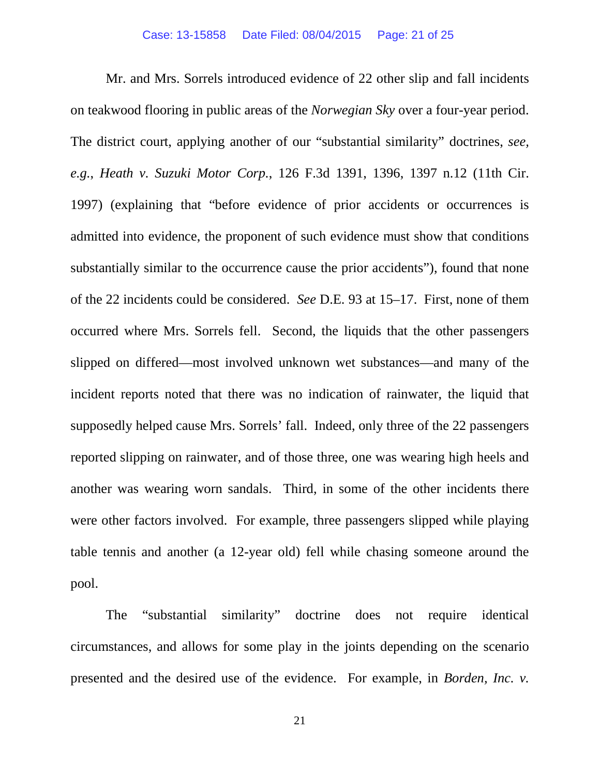Mr. and Mrs. Sorrels introduced evidence of 22 other slip and fall incidents on teakwood flooring in public areas of the *Norwegian Sky* over a four-year period. The district court, applying another of our "substantial similarity" doctrines, *see, e.g.*, *Heath v. Suzuki Motor Corp.*, 126 F.3d 1391, 1396, 1397 n.12 (11th Cir. 1997) (explaining that "before evidence of prior accidents or occurrences is admitted into evidence, the proponent of such evidence must show that conditions substantially similar to the occurrence cause the prior accidents"), found that none of the 22 incidents could be considered. *See* D.E. 93 at 15–17. First, none of them occurred where Mrs. Sorrels fell. Second, the liquids that the other passengers slipped on differed—most involved unknown wet substances—and many of the incident reports noted that there was no indication of rainwater, the liquid that supposedly helped cause Mrs. Sorrels' fall. Indeed, only three of the 22 passengers reported slipping on rainwater, and of those three, one was wearing high heels and another was wearing worn sandals. Third, in some of the other incidents there were other factors involved. For example, three passengers slipped while playing table tennis and another (a 12-year old) fell while chasing someone around the pool.

The "substantial similarity" doctrine does not require identical circumstances, and allows for some play in the joints depending on the scenario presented and the desired use of the evidence. For example, in *Borden, Inc. v.* 

21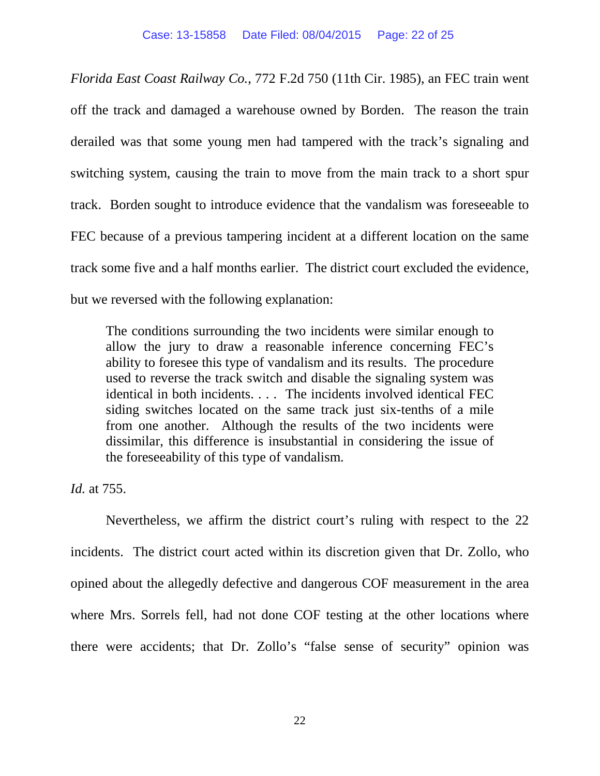*Florida East Coast Railway Co.*, 772 F.2d 750 (11th Cir. 1985), an FEC train went off the track and damaged a warehouse owned by Borden. The reason the train derailed was that some young men had tampered with the track's signaling and switching system, causing the train to move from the main track to a short spur track. Borden sought to introduce evidence that the vandalism was foreseeable to FEC because of a previous tampering incident at a different location on the same track some five and a half months earlier. The district court excluded the evidence, but we reversed with the following explanation:

The conditions surrounding the two incidents were similar enough to allow the jury to draw a reasonable inference concerning FEC's ability to foresee this type of vandalism and its results. The procedure used to reverse the track switch and disable the signaling system was identical in both incidents. . . . The incidents involved identical FEC siding switches located on the same track just six-tenths of a mile from one another. Although the results of the two incidents were dissimilar, this difference is insubstantial in considering the issue of the foreseeability of this type of vandalism.

*Id.* at 755.

Nevertheless, we affirm the district court's ruling with respect to the 22 incidents. The district court acted within its discretion given that Dr. Zollo, who opined about the allegedly defective and dangerous COF measurement in the area where Mrs. Sorrels fell, had not done COF testing at the other locations where there were accidents; that Dr. Zollo's "false sense of security" opinion was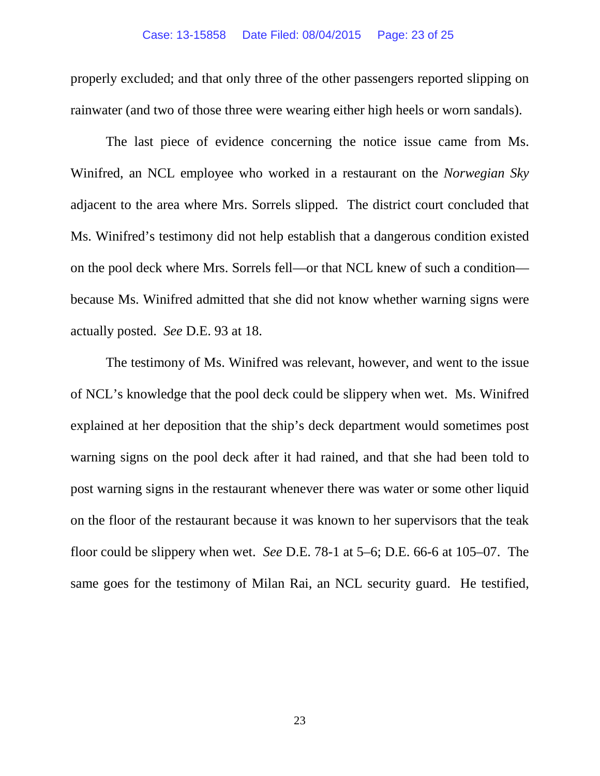properly excluded; and that only three of the other passengers reported slipping on rainwater (and two of those three were wearing either high heels or worn sandals).

The last piece of evidence concerning the notice issue came from Ms. Winifred, an NCL employee who worked in a restaurant on the *Norwegian Sky* adjacent to the area where Mrs. Sorrels slipped. The district court concluded that Ms. Winifred's testimony did not help establish that a dangerous condition existed on the pool deck where Mrs. Sorrels fell—or that NCL knew of such a condition because Ms. Winifred admitted that she did not know whether warning signs were actually posted. *See* D.E. 93 at 18.

The testimony of Ms. Winifred was relevant, however, and went to the issue of NCL's knowledge that the pool deck could be slippery when wet. Ms. Winifred explained at her deposition that the ship's deck department would sometimes post warning signs on the pool deck after it had rained, and that she had been told to post warning signs in the restaurant whenever there was water or some other liquid on the floor of the restaurant because it was known to her supervisors that the teak floor could be slippery when wet. *See* D.E. 78-1 at 5–6; D.E. 66-6 at 105–07. The same goes for the testimony of Milan Rai, an NCL security guard. He testified,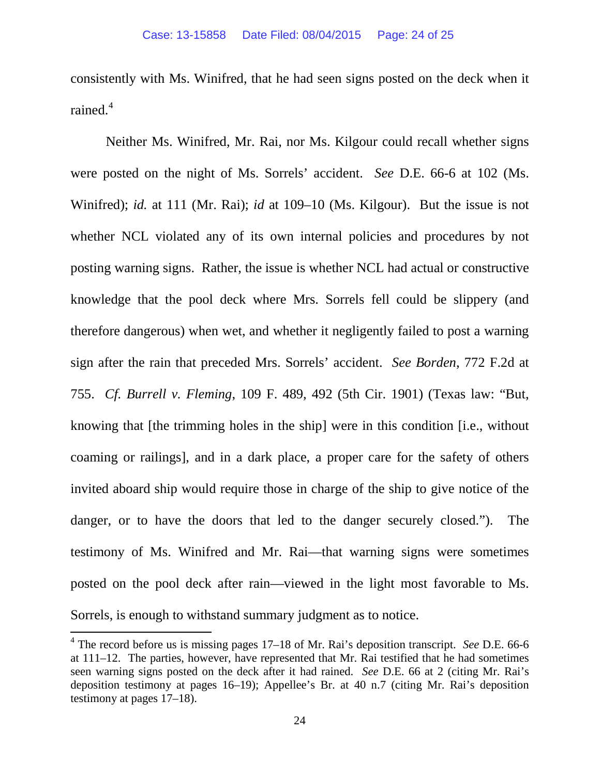consistently with Ms. Winifred, that he had seen signs posted on the deck when it rained.<sup>[4](#page-23-0)</sup>

Neither Ms. Winifred, Mr. Rai, nor Ms. Kilgour could recall whether signs were posted on the night of Ms. Sorrels' accident. *See* D.E. 66-6 at 102 (Ms. Winifred); *id.* at 111 (Mr. Rai); *id* at 109–10 (Ms. Kilgour). But the issue is not whether NCL violated any of its own internal policies and procedures by not posting warning signs. Rather, the issue is whether NCL had actual or constructive knowledge that the pool deck where Mrs. Sorrels fell could be slippery (and therefore dangerous) when wet, and whether it negligently failed to post a warning sign after the rain that preceded Mrs. Sorrels' accident. *See Borden*, 772 F.2d at 755. *Cf. Burrell v. Fleming*, 109 F. 489, 492 (5th Cir. 1901) (Texas law: "But, knowing that [the trimming holes in the ship] were in this condition [i.e., without coaming or railings], and in a dark place, a proper care for the safety of others invited aboard ship would require those in charge of the ship to give notice of the danger, or to have the doors that led to the danger securely closed."). The testimony of Ms. Winifred and Mr. Rai—that warning signs were sometimes posted on the pool deck after rain—viewed in the light most favorable to Ms. Sorrels, is enough to withstand summary judgment as to notice.

<span id="page-23-0"></span> <sup>4</sup> The record before us is missing pages 17–18 of Mr. Rai's deposition transcript. *See* D.E. 66-6 at 111–12. The parties, however, have represented that Mr. Rai testified that he had sometimes seen warning signs posted on the deck after it had rained. *See* D.E. 66 at 2 (citing Mr. Rai's deposition testimony at pages 16–19); Appellee's Br. at 40 n.7 (citing Mr. Rai's deposition testimony at pages 17–18).